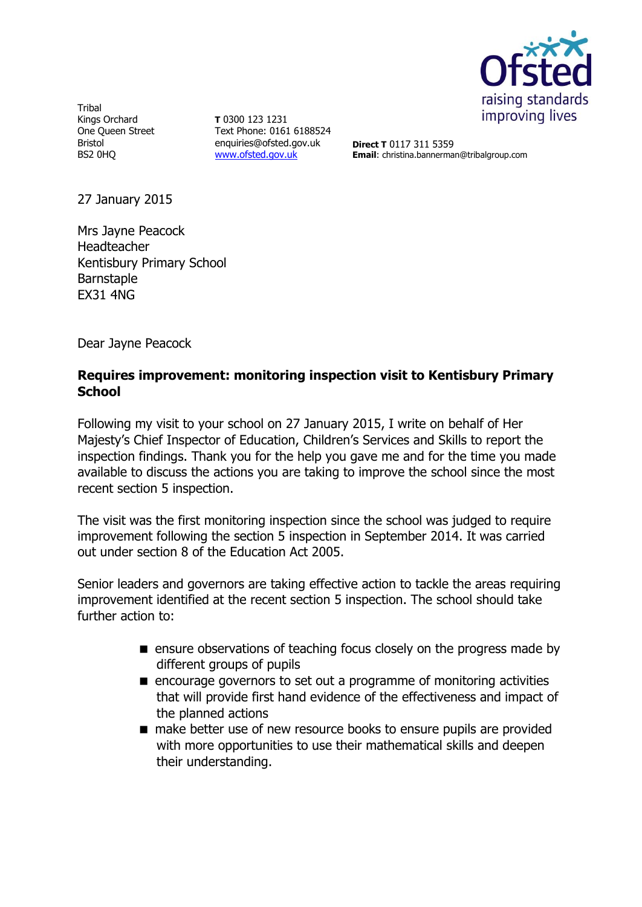

**Tribal** Kings Orchard One Queen Street Bristol BS2 0HQ

**T** 0300 123 1231 Text Phone: 0161 6188524 enquiries@ofsted.gov.uk [www.ofsted.gov.uk](http://www.ofsted.gov.uk/)

**Direct T** 0117 311 5359 **Email**: christina.bannerman@tribalgroup.com

27 January 2015

Mrs Jayne Peacock Headteacher Kentisbury Primary School Barnstaple EX31 4NG

Dear Jayne Peacock

## **Requires improvement: monitoring inspection visit to Kentisbury Primary School**

Following my visit to your school on 27 January 2015, I write on behalf of Her Majesty's Chief Inspector of Education, Children's Services and Skills to report the inspection findings. Thank you for the help you gave me and for the time you made available to discuss the actions you are taking to improve the school since the most recent section 5 inspection.

The visit was the first monitoring inspection since the school was judged to require improvement following the section 5 inspection in September 2014. It was carried out under section 8 of the Education Act 2005.

Senior leaders and governors are taking effective action to tackle the areas requiring improvement identified at the recent section 5 inspection. The school should take further action to:

- **E** ensure observations of teaching focus closely on the progress made by different groups of pupils
- encourage governors to set out a programme of monitoring activities that will provide first hand evidence of the effectiveness and impact of the planned actions
- make better use of new resource books to ensure pupils are provided with more opportunities to use their mathematical skills and deepen their understanding.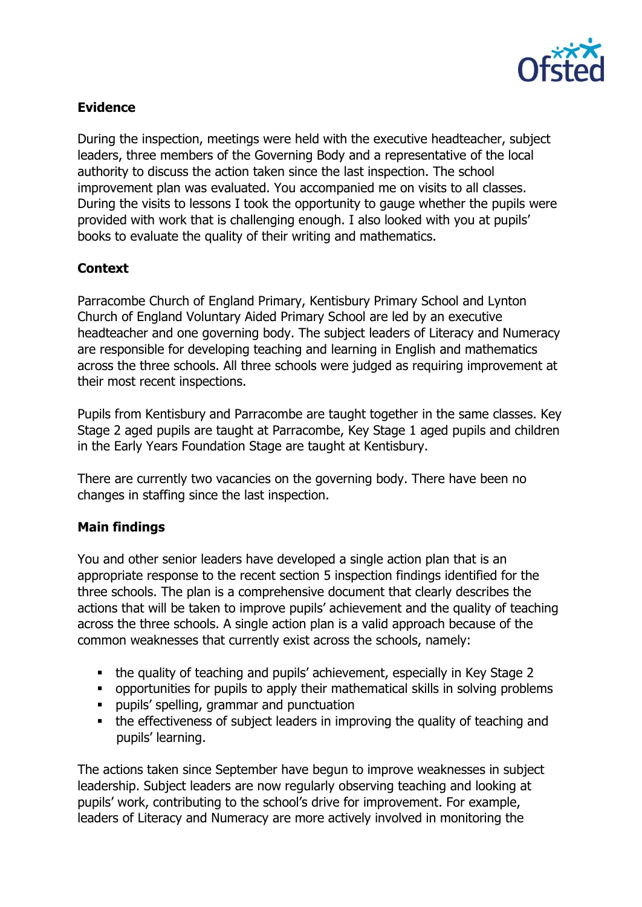

## **Evidence**

During the inspection, meetings were held with the executive headteacher, subject leaders, three members of the Governing Body and a representative of the local authority to discuss the action taken since the last inspection. The school improvement plan was evaluated. You accompanied me on visits to all classes. During the visits to lessons I took the opportunity to gauge whether the pupils were provided with work that is challenging enough. I also looked with you at pupils' books to evaluate the quality of their writing and mathematics.

# **Context**

Parracombe Church of England Primary, Kentisbury Primary School and Lynton Church of England Voluntary Aided Primary School are led by an executive headteacher and one governing body. The subject leaders of Literacy and Numeracy are responsible for developing teaching and learning in English and mathematics across the three schools. All three schools were judged as requiring improvement at their most recent inspections.

Pupils from Kentisbury and Parracombe are taught together in the same classes. Key Stage 2 aged pupils are taught at Parracombe, Key Stage 1 aged pupils and children in the Early Years Foundation Stage are taught at Kentisbury.

There are currently two vacancies on the governing body. There have been no changes in staffing since the last inspection.

## **Main findings**

You and other senior leaders have developed a single action plan that is an appropriate response to the recent section 5 inspection findings identified for the three schools. The plan is a comprehensive document that clearly describes the actions that will be taken to improve pupils' achievement and the quality of teaching across the three schools. A single action plan is a valid approach because of the common weaknesses that currently exist across the schools, namely:

- the quality of teaching and pupils' achievement, especially in Key Stage 2
- opportunities for pupils to apply their mathematical skills in solving problems
- pupils' spelling, grammar and punctuation
- the effectiveness of subject leaders in improving the quality of teaching and pupils' learning.

The actions taken since September have begun to improve weaknesses in subject leadership. Subject leaders are now regularly observing teaching and looking at pupils' work, contributing to the school's drive for improvement. For example, leaders of Literacy and Numeracy are more actively involved in monitoring the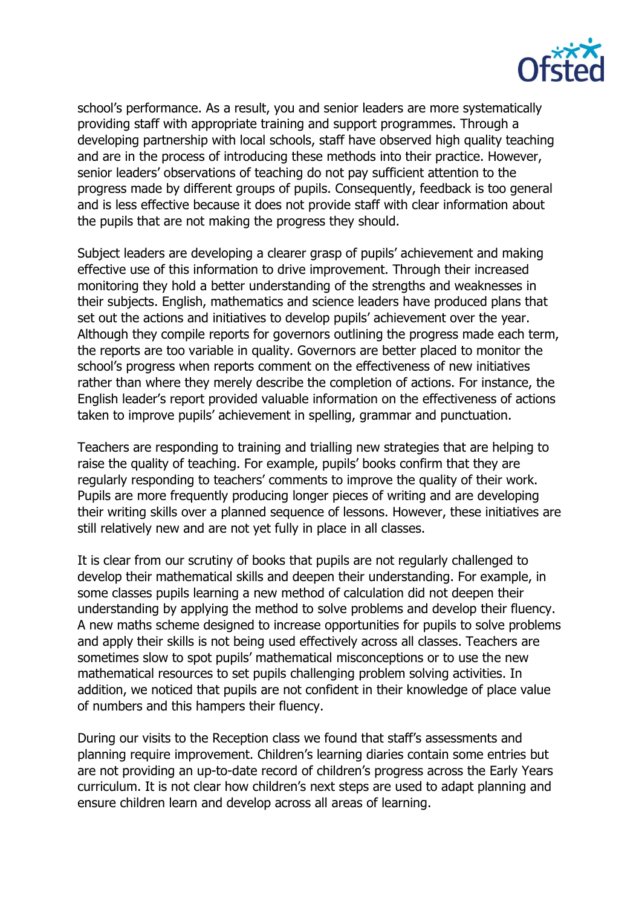

school's performance. As a result, you and senior leaders are more systematically providing staff with appropriate training and support programmes. Through a developing partnership with local schools, staff have observed high quality teaching and are in the process of introducing these methods into their practice. However, senior leaders' observations of teaching do not pay sufficient attention to the progress made by different groups of pupils. Consequently, feedback is too general and is less effective because it does not provide staff with clear information about the pupils that are not making the progress they should.

Subject leaders are developing a clearer grasp of pupils' achievement and making effective use of this information to drive improvement. Through their increased monitoring they hold a better understanding of the strengths and weaknesses in their subjects. English, mathematics and science leaders have produced plans that set out the actions and initiatives to develop pupils' achievement over the year. Although they compile reports for governors outlining the progress made each term, the reports are too variable in quality. Governors are better placed to monitor the school's progress when reports comment on the effectiveness of new initiatives rather than where they merely describe the completion of actions. For instance, the English leader's report provided valuable information on the effectiveness of actions taken to improve pupils' achievement in spelling, grammar and punctuation.

Teachers are responding to training and trialling new strategies that are helping to raise the quality of teaching. For example, pupils' books confirm that they are regularly responding to teachers' comments to improve the quality of their work. Pupils are more frequently producing longer pieces of writing and are developing their writing skills over a planned sequence of lessons. However, these initiatives are still relatively new and are not yet fully in place in all classes.

It is clear from our scrutiny of books that pupils are not regularly challenged to develop their mathematical skills and deepen their understanding. For example, in some classes pupils learning a new method of calculation did not deepen their understanding by applying the method to solve problems and develop their fluency. A new maths scheme designed to increase opportunities for pupils to solve problems and apply their skills is not being used effectively across all classes. Teachers are sometimes slow to spot pupils' mathematical misconceptions or to use the new mathematical resources to set pupils challenging problem solving activities. In addition, we noticed that pupils are not confident in their knowledge of place value of numbers and this hampers their fluency.

During our visits to the Reception class we found that staff's assessments and planning require improvement. Children's learning diaries contain some entries but are not providing an up-to-date record of children's progress across the Early Years curriculum. It is not clear how children's next steps are used to adapt planning and ensure children learn and develop across all areas of learning.